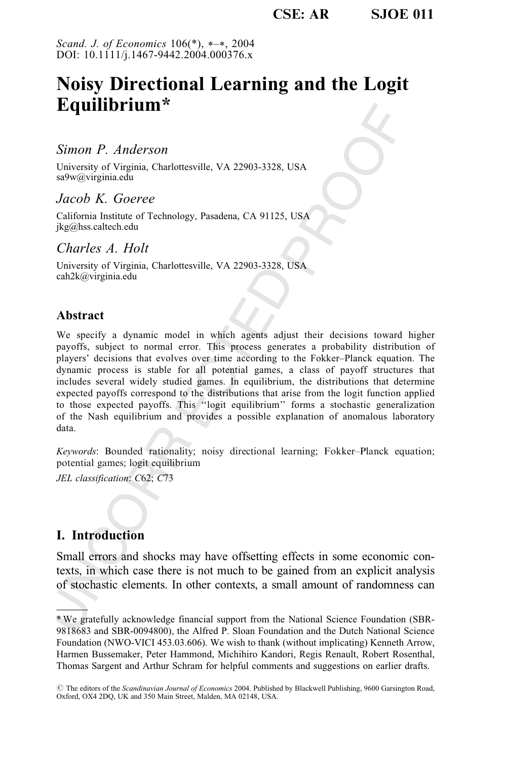Scand. J. of Economics 106(\*), \*–\*, 2004 DOI: 10.1111/j.1467-9442.2004.000376.x

## Noisy Directional Learning and the Logit Equilibrium\*

## Simon P. Anderson

University of Virginia, Charlottesville, VA 22903-3328, USA sa9w@virginia.edu

#### Jacob K. Goeree

California Institute of Technology, Pasadena, CA 91125, USA jkg@hss.caltech.edu

#### Charles A. Holt

University of Virginia, Charlottesville, VA 22903-3328, USA cah2k@virginia.edu

#### Abstract

**Example 16.**<br>
Simon P. Anderson<br>
University of Virginia, Charlottesville, VA 22903-3328, USA<br>
sa<sup>9</sup>w@virginia.edu<br>
caco K. Goerec Technology, Pasadena, CA 91125, USA<br>
(Sidmin Institute of Technology, Pasadena, CA 91125, We specify a dynamic model in which agents adjust their decisions toward higher payoffs, subject to normal error. This process generates a probability distribution of players' decisions that evolves over time according to the Fokker–Planck equation. The dynamic process is stable for all potential games, a class of payoff structures that includes several widely studied games. In equilibrium, the distributions that determine expected payoffs correspond to the distributions that arise from the logit function applied to those expected payoffs. This ''logit equilibrium'' forms a stochastic generalization of the Nash equilibrium and provides a possible explanation of anomalous laboratory data.

Keywords: Bounded rationality; noisy directional learning; Fokker–Planck equation; potential games; logit equilibrium

JEL classification: C62; C73

### I. Introduction

Small errors and shocks may have offsetting effects in some economic contexts, in which case there is not much to be gained from an explicit analysis of stochastic elements. In other contexts, a small amount of randomness can

<sup>\*</sup> We gratefully acknowledge financial support from the National Science Foundation (SBR-9818683 and SBR-0094800), the Alfred P. Sloan Foundation and the Dutch National Science Foundation (NWO-VICI 453.03.606). We wish to thank (without implicating) Kenneth Arrow, Harmen Bussemaker, Peter Hammond, Michihiro Kandori, Regis Renault, Robert Rosenthal, Thomas Sargent and Arthur Schram for helpful comments and suggestions on earlier drafts.

<sup>©</sup> The editors of the *Scandinavian Journal of Economics* 2004. Published by Blackwell Publishing, 9600 Garsington Road, Oxford, OX4 2DQ, UK and 350 Main Street, Malden, MA 02148, USA.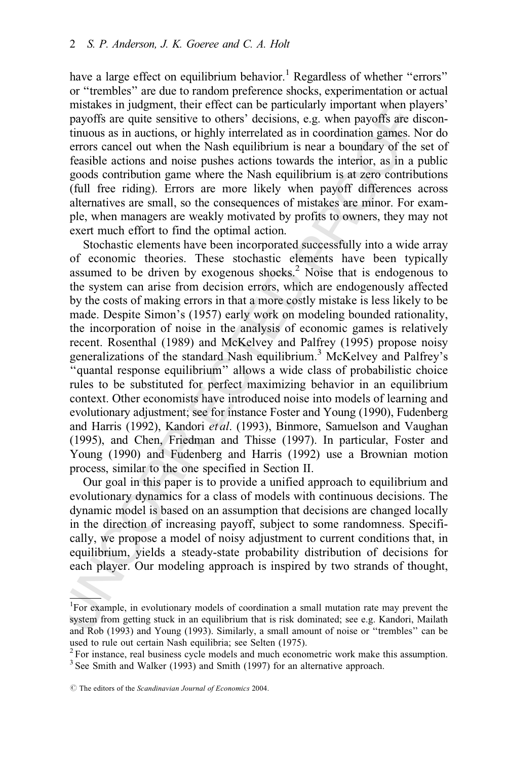have a large effect on equilibrium behavior.<sup>1</sup> Regardless of whether "errors" or ''trembles'' are due to random preference shocks, experimentation or actual mistakes in judgment, their effect can be particularly important when players' payoffs are quite sensitive to others' decisions, e.g. when payoffs are discontinuous as in auctions, or highly interrelated as in coordination games. Nor do errors cancel out when the Nash equilibrium is near a boundary of the set of feasible actions and noise pushes actions towards the interior, as in a public goods contribution game where the Nash equilibrium is at zero contributions (full free riding). Errors are more likely when payoff differences across alternatives are small, so the consequences of mistakes are minor. For example, when managers are weakly motivated by profits to owners, they may not exert much effort to find the optimal action.

mustakes in jugament, their effect can be particularly important when phi<br>spayoffs are quite sensitive to others' decisions, e.g. when payoffs are diu<br>sources can be two domestic data in coordination games. Network the tr Stochastic elements have been incorporated successfully into a wide array of economic theories. These stochastic elements have been typically assumed to be driven by exogenous shocks.<sup>2</sup> Noise that is endogenous to the system can arise from decision errors, which are endogenously affected by the costs of making errors in that a more costly mistake is less likely to be made. Despite Simon's (1957) early work on modeling bounded rationality, the incorporation of noise in the analysis of economic games is relatively recent. Rosenthal (1989) and McKelvey and Palfrey (1995) propose noisy generalizations of the standard Nash equilibrium.<sup>3</sup> McKelvey and Palfrey's ''quantal response equilibrium'' allows a wide class of probabilistic choice rules to be substituted for perfect maximizing behavior in an equilibrium context. Other economists have introduced noise into models of learning and evolutionary adjustment; see for instance Foster and Young (1990), Fudenberg and Harris (1992), Kandori et al. (1993), Binmore, Samuelson and Vaughan (1995), and Chen, Friedman and Thisse (1997). In particular, Foster and Young (1990) and Fudenberg and Harris (1992) use a Brownian motion process, similar to the one specified in Section II.

Our goal in this paper is to provide a unified approach to equilibrium and evolutionary dynamics for a class of models with continuous decisions. The dynamic model is based on an assumption that decisions are changed locally in the direction of increasing payoff, subject to some randomness. Specifically, we propose a model of noisy adjustment to current conditions that, in equilibrium, yields a steady-state probability distribution of decisions for each player. Our modeling approach is inspired by two strands of thought,

<sup>&</sup>lt;sup>1</sup>For example, in evolutionary models of coordination a small mutation rate may prevent the system from getting stuck in an equilibrium that is risk dominated; see e.g. Kandori, Mailath and Rob (1993) and Young (1993). Similarly, a small amount of noise or ''trembles'' can be used to rule out certain Nash equilibria; see Selten (1975).

<sup>2</sup> For instance, real business cycle models and much econometric work make this assumption. <sup>3</sup> See Smith and Walker (1993) and Smith (1997) for an alternative approach.

 $\circ$  The editors of the Scandinavian Journal of Economics 2004.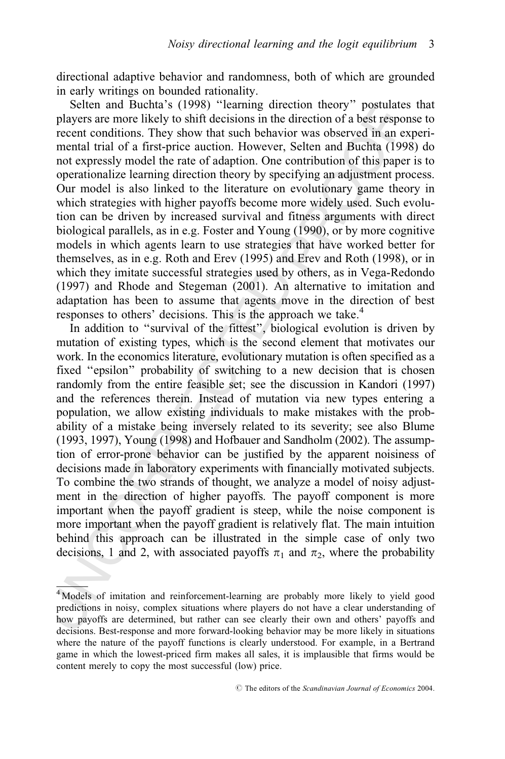directional adaptive behavior and randomness, both of which are grounded in early writings on bounded rationality.

Selten and Buchta's (1998) ''learning direction theory'' postulates that players are more likely to shift decisions in the direction of a best response to recent conditions. They show that such behavior was observed in an experimental trial of a first-price auction. However, Selten and Buchta (1998) do not expressly model the rate of adaption. One contribution of this paper is to operationalize learning direction theory by specifying an adjustment process. Our model is also linked to the literature on evolutionary game theory in which strategies with higher payoffs become more widely used. Such evolution can be driven by increased survival and fitness arguments with direct biological parallels, as in e.g. Foster and Young (1990), or by more cognitive models in which agents learn to use strategies that have worked better for themselves, as in e.g. Roth and Erev (1995) and Erev and Roth (1998), or in which they imitate successful strategies used by others, as in Vega-Redondo (1997) and Rhode and Stegeman (2001). An alternative to imitation and adaptation has been to assume that agents move in the direction of best responses to others' decisions. This is the approach we take.<sup>4</sup>

Select and Buchta's (1998) "hearing direction theory" posituate<br>signs are more likely to shift decisions in the direction of a best response are more likely to shift decisions in the direction of a best response of the ar In addition to ''survival of the fittest'', biological evolution is driven by mutation of existing types, which is the second element that motivates our work. In the economics literature, evolutionary mutation is often specified as a fixed ''epsilon'' probability of switching to a new decision that is chosen randomly from the entire feasible set; see the discussion in Kandori (1997) and the references therein. Instead of mutation via new types entering a population, we allow existing individuals to make mistakes with the probability of a mistake being inversely related to its severity; see also Blume (1993, 1997), Young (1998) and Hofbauer and Sandholm (2002). The assumption of error-prone behavior can be justified by the apparent noisiness of decisions made in laboratory experiments with financially motivated subjects. To combine the two strands of thought, we analyze a model of noisy adjustment in the direction of higher payoffs. The payoff component is more important when the payoff gradient is steep, while the noise component is more important when the payoff gradient is relatively flat. The main intuition behind this approach can be illustrated in the simple case of only two decisions, 1 and 2, with associated payoffs  $\pi_1$  and  $\pi_2$ , where the probability

<sup>&</sup>lt;sup>4</sup> Models of imitation and reinforcement-learning are probably more likely to yield good predictions in noisy, complex situations where players do not have a clear understanding of how payoffs are determined, but rather can see clearly their own and others' payoffs and decisions. Best-response and more forward-looking behavior may be more likely in situations where the nature of the payoff functions is clearly understood. For example, in a Bertrand game in which the lowest-priced firm makes all sales, it is implausible that firms would be content merely to copy the most successful (low) price.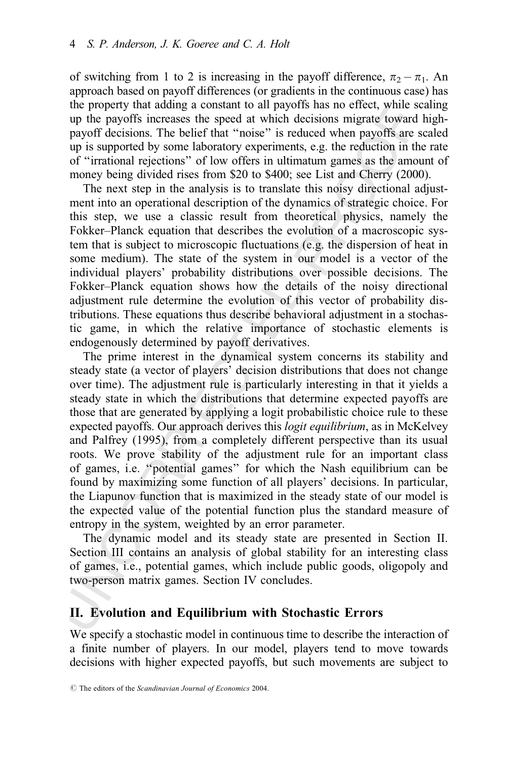of switching from 1 to 2 is increasing in the payoff difference,  $\pi_2 - \pi_1$ . An approach based on payoff differences (or gradients in the continuous case) has the property that adding a constant to all payoffs has no effect, while scaling up the payoffs increases the speed at which decisions migrate toward highpayoff decisions. The belief that ''noise'' is reduced when payoffs are scaled up is supported by some laboratory experiments, e.g. the reduction in the rate of ''irrational rejections'' of low offers in ultimatum games as the amount of money being divided rises from \$20 to \$400; see List and Cherry (2000).

The next step in the analysis is to translate this noisy directional adjustment into an operational description of the dynamics of strategic choice. For this step, we use a classic result from theoretical physics, namely the Fokker–Planck equation that describes the evolution of a macroscopic system that is subject to microscopic fluctuations (e.g. the dispersion of heat in some medium). The state of the system in our model is a vector of the individual players' probability distributions over possible decisions. The Fokker–Planck equation shows how the details of the noisy directional adjustment rule determine the evolution of this vector of probability distributions. These equations thus describe behavioral adjustment in a stochastic game, in which the relative importance of stochastic elements is endogenously determined by payoff derivatives.

the property that adding a constant to all payoris has no effect, while the payoffs increases the speed at which decisions migrate toward payoff decisions. The belief that "noise" is reduced when payoffs are apply is supp The prime interest in the dynamical system concerns its stability and steady state (a vector of players' decision distributions that does not change over time). The adjustment rule is particularly interesting in that it yields a steady state in which the distributions that determine expected payoffs are those that are generated by applying a logit probabilistic choice rule to these expected payoffs. Our approach derives this *logit equilibrium*, as in McKelvey and Palfrey (1995), from a completely different perspective than its usual roots. We prove stability of the adjustment rule for an important class of games, i.e. ''potential games'' for which the Nash equilibrium can be found by maximizing some function of all players' decisions. In particular, the Liapunov function that is maximized in the steady state of our model is the expected value of the potential function plus the standard measure of entropy in the system, weighted by an error parameter.

The dynamic model and its steady state are presented in Section II. Section III contains an analysis of global stability for an interesting class of games, i.e., potential games, which include public goods, oligopoly and two-person matrix games. Section IV concludes.

### II. Evolution and Equilibrium with Stochastic Errors

We specify a stochastic model in continuous time to describe the interaction of a finite number of players. In our model, players tend to move towards decisions with higher expected payoffs, but such movements are subject to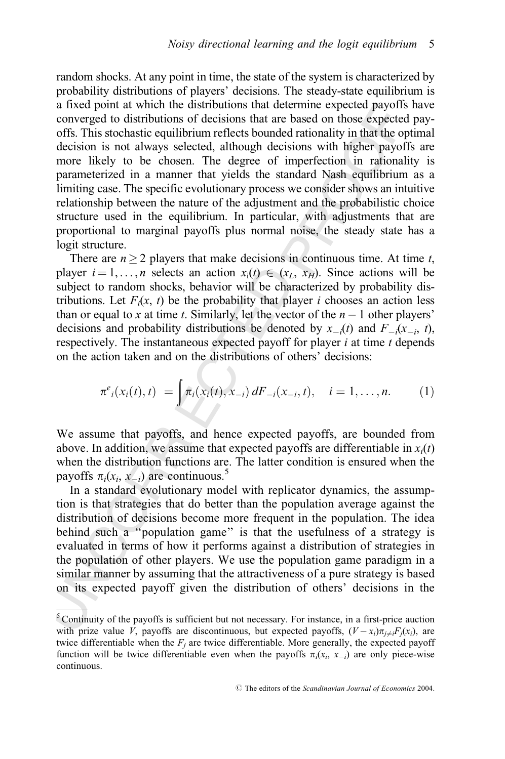a Inxel point at which the distributions that determine expected payoffs. This stochastic equilibrium reflects bounded rationality in that the operator<br>oncerged to distributions of decisions that are based on those expect random shocks. At any point in time, the state of the system is characterized by probability distributions of players' decisions. The steady-state equilibrium is a fixed point at which the distributions that determine expected payoffs have converged to distributions of decisions that are based on those expected payoffs. This stochastic equilibrium reflects bounded rationality in that the optimal decision is not always selected, although decisions with higher payoffs are more likely to be chosen. The degree of imperfection in rationality is parameterized in a manner that yields the standard Nash equilibrium as a limiting case. The specific evolutionary process we consider shows an intuitive relationship between the nature of the adjustment and the probabilistic choice structure used in the equilibrium. In particular, with adjustments that are proportional to marginal payoffs plus normal noise, the steady state has a logit structure.

There are  $n \geq 2$  players that make decisions in continuous time. At time t, player  $i = 1, ..., n$  selects an action  $x_i(t) \in (x_L, x_H)$ . Since actions will be subject to random shocks, behavior will be characterized by probability distributions. Let  $F_i(x, t)$  be the probability that player *i* chooses an action less than or equal to x at time t. Similarly, let the vector of the  $n - 1$  other players' decisions and probability distributions be denoted by  $x_{-i}(t)$  and  $F_{-i}(x_{-i}, t)$ , respectively. The instantaneous expected payoff for player  $i$  at time  $t$  depends on the action taken and on the distributions of others' decisions:

$$
\pi^{e_i}(x_i(t),t) = \int \pi_i(x_i(t),x_{-i}) dF_{-i}(x_{-i},t), \quad i = 1,\ldots,n.
$$
 (1)

We assume that payoffs, and hence expected payoffs, are bounded from above. In addition, we assume that expected payoffs are differentiable in  $x_i(t)$ when the distribution functions are. The latter condition is ensured when the payoffs  $\pi_i(x_i, x_{-i})$  are continuous.<sup>5</sup>

In a standard evolutionary model with replicator dynamics, the assumption is that strategies that do better than the population average against the distribution of decisions become more frequent in the population. The idea behind such a ''population game'' is that the usefulness of a strategy is evaluated in terms of how it performs against a distribution of strategies in the population of other players. We use the population game paradigm in a similar manner by assuming that the attractiveness of a pure strategy is based on its expected payoff given the distribution of others' decisions in the

 $<sup>5</sup>$  Continuity of the payoffs is sufficient but not necessary. For instance, in a first-price auction</sup> with prize value V, payoffs are discontinuous, but expected payoffs,  $(V - x_i)\pi_{i \neq i}F_j(x_i)$ , are twice differentiable when the  $F_i$  are twice differentiable. More generally, the expected payoff function will be twice differentiable even when the payoffs  $\pi_i(x_i, x_{-i})$  are only piece-wise continuous.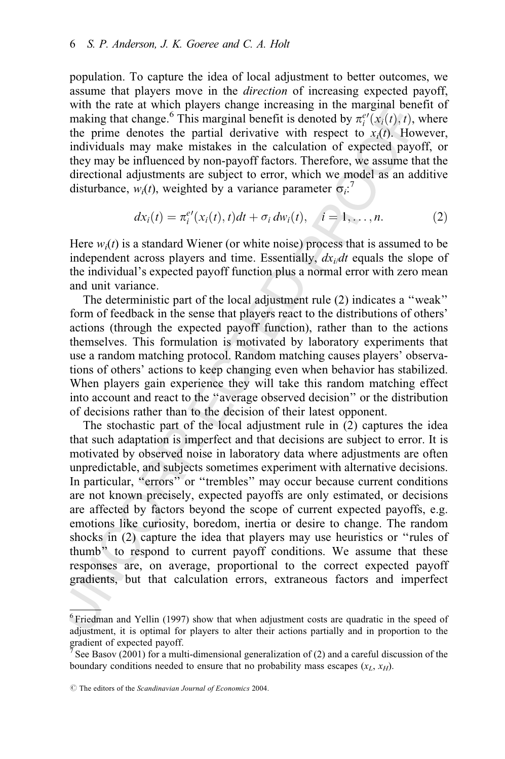population. To capture the idea of local adjustment to better outcomes, we assume that players move in the direction of increasing expected payoff, with the rate at which players change increasing in the marginal benefit of making that change.<sup>6</sup> This marginal benefit is denoted by  $\pi_i^{e'}(x_i(t), t)$ , where the prime denotes the partial derivative with respect to  $x_i(t)$ . However, individuals may make mistakes in the calculation of expected payoff, or they may be influenced by non-payoff factors. Therefore, we assume that the directional adjustments are subject to error, which we model as an additive disturbance,  $w_i(t)$ , weighted by a variance parameter  $\sigma_i$ .<sup>7</sup>

$$
dx_i(t) = \pi_i^{e'}(x_i(t), t)dt + \sigma_i dw_i(t), \quad i = 1, \ldots, n.
$$
 (2)

Here  $w_i(t)$  is a standard Wiener (or white noise) process that is assumed to be independent across players and time. Essentially,  $dx_i/dt$  equals the slope of the individual's expected payoff function plus a normal error with zero mean and unit variance.

The deterministic part of the local adjustment rule (2) indicates a ''weak'' form of feedback in the sense that players react to the distributions of others' actions (through the expected payoff function), rather than to the actions themselves. This formulation is motivated by laboratory experiments that use a random matching protocol. Random matching causes players' observations of others' actions to keep changing even when behavior has stabilized. When players gain experience they will take this random matching effect into account and react to the ''average observed decision'' or the distribution of decisions rather than to the decision of their latest opponent.

with the rate at which players change increasing in the mean and benefit is denoted by  $\pi_i^{\alpha}(x_i(t),t)$ , the prime denotes the partial derivative with respect to  $x_i(t)$ . However, the prime denotes the partial derivative wi The stochastic part of the local adjustment rule in (2) captures the idea that such adaptation is imperfect and that decisions are subject to error. It is motivated by observed noise in laboratory data where adjustments are often unpredictable, and subjects sometimes experiment with alternative decisions. In particular, ''errors'' or ''trembles'' may occur because current conditions are not known precisely, expected payoffs are only estimated, or decisions are affected by factors beyond the scope of current expected payoffs, e.g. emotions like curiosity, boredom, inertia or desire to change. The random shocks in (2) capture the idea that players may use heuristics or ''rules of thumb'' to respond to current payoff conditions. We assume that these responses are, on average, proportional to the correct expected payoff gradients, but that calculation errors, extraneous factors and imperfect

<sup>6</sup> Friedman and Yellin (1997) show that when adjustment costs are quadratic in the speed of adjustment, it is optimal for players to alter their actions partially and in proportion to the gradient of expected payoff.

See Basov (2001) for a multi-dimensional generalization of (2) and a careful discussion of the boundary conditions needed to ensure that no probability mass escapes  $(x_L, x_H)$ .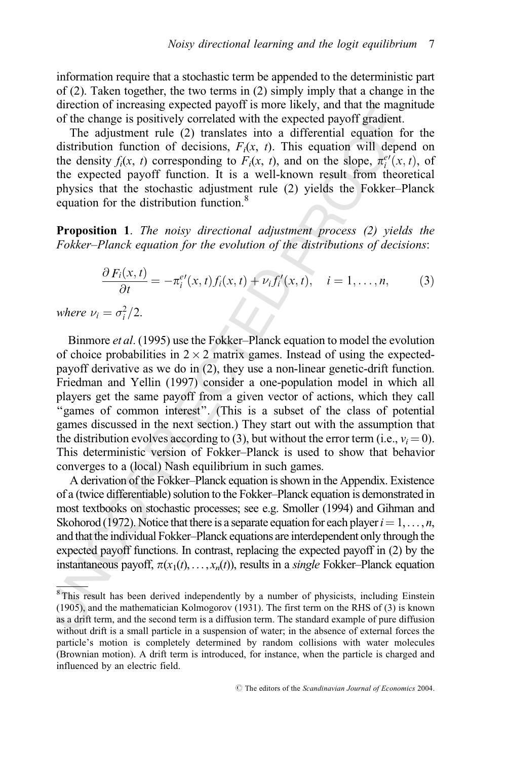information require that a stochastic term be appended to the deterministic part of (2). Taken together, the two terms in (2) simply imply that a change in the direction of increasing expected payoff is more likely, and that the magnitude of the change is positively correlated with the expected payoff gradient.

The adjustment rule (2) translates into a differential equation for the distribution function of decisions,  $F_i(x, t)$ . This equation will depend on the density  $f_i(x, t)$  corresponding to  $F_i(x, t)$ , and on the slope,  $\pi_i^{e'}(x, t)$ , of the expected payoff function. It is a well-known result from theoretical physics that the stochastic adjustment rule (2) yields the Fokker–Planck equation for the distribution function.<sup>8</sup>

**Proposition 1.** The noisy directional adjustment process (2) yields the Fokker–Planck equation for the evolution of the distributions of decisions:

$$
\frac{\partial F_i(x,t)}{\partial t} = -\pi_i^{e'}(x,t)f_i(x,t) + \nu_i f_i'(x,t), \quad i = 1,\ldots,n,
$$
 (3)

where  $\nu_i = \sigma_i^2/2$ .

direction of increasing expected payoff is more likely, and that the magnetical<br>motion of the change is positively correlated with the expected payoff gradient.<br>The adjustment rule (2) translates into a differential equat Binmore et al. (1995) use the Fokker–Planck equation to model the evolution of choice probabilities in  $2 \times 2$  matrix games. Instead of using the expectedpayoff derivative as we do in (2), they use a non-linear genetic-drift function. Friedman and Yellin (1997) consider a one-population model in which all players get the same payoff from a given vector of actions, which they call "games of common interest". (This is a subset of the class of potential games discussed in the next section.) They start out with the assumption that the distribution evolves according to (3), but without the error term (i.e.,  $v_i = 0$ ). This deterministic version of Fokker–Planck is used to show that behavior converges to a (local) Nash equilibrium in such games.

A derivation of the Fokker–Planck equation is shown in the Appendix. Existence of a (twice differentiable) solution to the Fokker–Planck equation is demonstrated in most textbooks on stochastic processes; see e.g. Smoller (1994) and Gihman and Skohorod (1972). Notice that there is a separate equation for each player  $i = 1, \ldots, n$ , and that the individual Fokker–Planck equations are interdependent only through the expected payoff functions. In contrast, replacing the expected payoff in (2) by the instantaneous payoff,  $\pi(x_1(t), \ldots, x_n(t))$ , results in a *single* Fokker–Planck equation

<sup>8</sup> This result has been derived independently by a number of physicists, including Einstein (1905), and the mathematician Kolmogorov (1931). The first term on the RHS of (3) is known as a drift term, and the second term is a diffusion term. The standard example of pure diffusion without drift is a small particle in a suspension of water; in the absence of external forces the particle's motion is completely determined by random collisions with water molecules (Brownian motion). A drift term is introduced, for instance, when the particle is charged and influenced by an electric field.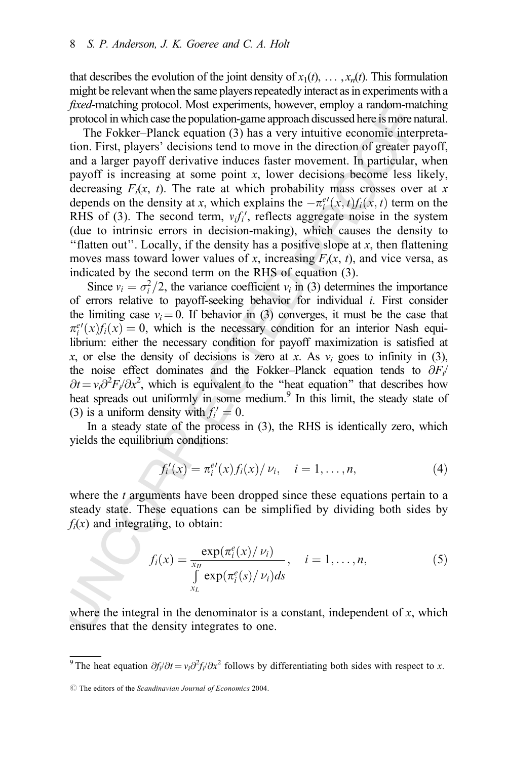that describes the evolution of the joint density of  $x_1(t), \ldots, x_n(t)$ . This formulation might be relevant when the same players repeatedly interact as in experiments with a fixed-matching protocol. Most experiments, however, employ a random-matching protocol in which case the population-game approach discussed here is more natural.

*Jived*-mathing protocol. Most experiments, however, employ a random-man<br>noccol in which case the population-game approach discussed here is more in<br>The Fokker-Planck equation (3) has a very intuitive economic inter<br>into The Fokker–Planck equation (3) has a very intuitive economic interpretation. First, players' decisions tend to move in the direction of greater payoff, and a larger payoff derivative induces faster movement. In particular, when payoff is increasing at some point  $x$ , lower decisions become less likely, decreasing  $F_i(x, t)$ . The rate at which probability mass crosses over at x depends on the density at x, which explains the  $-\pi_i^{e'}(x,t)f_i(x,t)$  term on the RHS of (3). The second term,  $v_i f'_i$ , reflects aggregate noise in the system (due to intrinsic errors in decision-making), which causes the density to "flatten out". Locally, if the density has a positive slope at  $x$ , then flattening moves mass toward lower values of x, increasing  $F_i(x, t)$ , and vice versa, as indicated by the second term on the RHS of equation (3).

Since  $v_i = \sigma_i^2/2$ , the variance coefficient  $v_i$  in (3) determines the importance of errors relative to payoff-seeking behavior for individual i. First consider the limiting case  $v_i = 0$ . If behavior in (3) converges, it must be the case that  $\pi_i^{e'}(x) f_i(x) = 0$ , which is the necessary condition for an interior Nash equilibrium: either the necessary condition for payoff maximization is satisfied at x, or else the density of decisions is zero at x. As  $v_i$  goes to infinity in (3), the noise effect dominates and the Fokker–Planck equation tends to  $\partial F_i$  $\partial t = v_i \partial^2 F_i / \partial x^2$ , which is equivalent to the "heat equation" that describes how heat spreads out uniformly in some medium.<sup>9</sup> In this limit, the steady state of (3) is a uniform density with  $f_i' = 0$ .

In a steady state of the process in (3), the RHS is identically zero, which yields the equilibrium conditions:

$$
f'_{i}(x) = \pi_{i}^{e'}(x) f_{i}(x) / \nu_{i}, \quad i = 1, ..., n,
$$
 (4)

where the  $t$  arguments have been dropped since these equations pertain to a steady state. These equations can be simplified by dividing both sides by  $f_i(x)$  and integrating, to obtain:

$$
f_i(x) = \frac{\exp(\pi_i^e(x)/\nu_i)}{\int_{x_L}^f \exp(\pi_i^e(s)/\nu_i) ds}, \quad i = 1, \dots, n,
$$
 (5)

where the integral in the denominator is a constant, independent of  $x$ , which ensures that the density integrates to one.

<sup>&</sup>lt;sup>9</sup> The heat equation  $\partial f_i/\partial t = v_i \partial^2 f_i/\partial x^2$  follows by differentiating both sides with respect to x.

 $\circ$  The editors of the Scandinavian Journal of Economics 2004.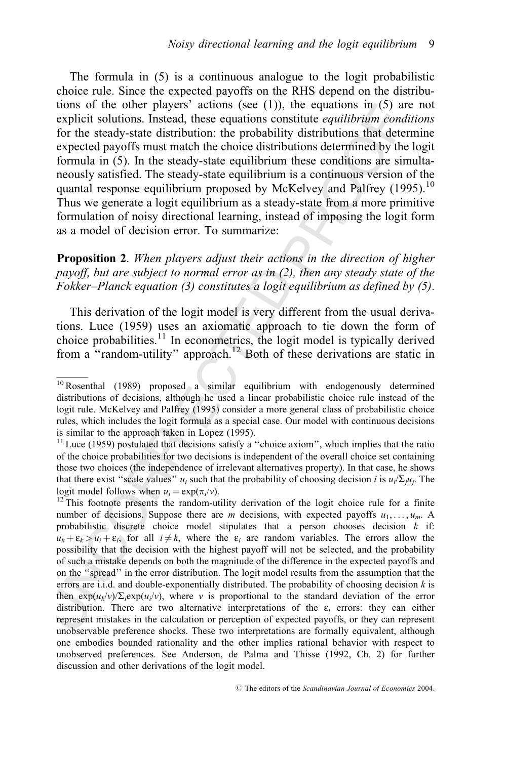The formula in (5) is a continuous analogue to the logit probabilistic choice rule. Since the expected payoffs on the RHS depend on the distributions of the other players' actions (see (1)), the equations in (5) are not explicit solutions. Instead, these equations constitute equilibrium conditions for the steady-state distribution: the probability distributions that determine expected payoffs must match the choice distributions determined by the logit formula in (5). In the steady-state equilibrium these conditions are simultaneously satisfied. The steady-state equilibrium is a continuous version of the quantal response equilibrium proposed by McKelvey and Palfrey  $(1995)$ .<sup>10</sup> Thus we generate a logit equilibrium as a steady-state from a more primitive formulation of noisy directional learning, instead of imposing the logit form as a model of decision error. To summarize:

**Proposition 2.** When players adjust their actions in the direction of higher payoff, but are subject to normal error as in (2), then any steady state of the Fokker–Planck equation (3) constitutes a logit equilibrium as defined by (5).

This derivation of the logit model is very different from the usual derivations. Luce (1959) uses an axiomatic approach to tie down the form of choice probabilities.<sup>11</sup> In econometrics, the logit model is typically derived from a ''random-utility'' approach.12 Both of these derivations are static in

<sup>&</sup>lt;sup>10</sup>Rosenthal (1989) proposed a similar equilibrium with endogenously determined distributions of decisions, although he used a linear probabilistic choice rule instead of the logit rule. McKelvey and Palfrey (1995) consider a more general class of probabilistic choice rules, which includes the logit formula as a special case. Our model with continuous decisions is similar to the approach taken in Lopez (1995).

 $11$  Luce (1959) postulated that decisions satisfy a "choice axiom", which implies that the ratio of the choice probabilities for two decisions is independent of the overall choice set containing those two choices (the independence of irrelevant alternatives property). In that case, he shows that there exist "scale values"  $u_i$  such that the probability of choosing decision *i* is  $u_i/\Sigma_j u_j$ . The logit model follows when  $u_i = \exp(\pi_i/v)$ .

tons of the other players actions (see (1)), the equations in (5) at equations in (5) and the other players actions in contribution of the steady-state distribution: the probability distributions faat dete expected payoff  $12$ <sup>12</sup>This footnote presents the random-utility derivation of the logit choice rule for a finite number of decisions. Suppose there are m decisions, with expected payoffs  $u_1, \ldots, u_m$ . probabilistic discrete choice model stipulates that a person chooses decision  $k$  if:  $u_k + \varepsilon_k > u_i + \varepsilon_i$ , for all  $i \neq k$ , where the  $\varepsilon_i$  are random variables. The errors allow the possibility that the decision with the highest payoff will not be selected, and the probability of such a mistake depends on both the magnitude of the difference in the expected payoffs and on the ''spread'' in the error distribution. The logit model results from the assumption that the errors are i.i.d. and double-exponentially distributed. The probability of choosing decision  $k$  is then  $exp(u_k/v)/\sum_i exp(u_i/v)$ , where v is proportional to the standard deviation of the error distribution. There are two alternative interpretations of the  $\varepsilon_i$  errors: they can either represent mistakes in the calculation or perception of expected payoffs, or they can represent unobservable preference shocks. These two interpretations are formally equivalent, although one embodies bounded rationality and the other implies rational behavior with respect to unobserved preferences. See Anderson, de Palma and Thisse (1992, Ch. 2) for further discussion and other derivations of the logit model.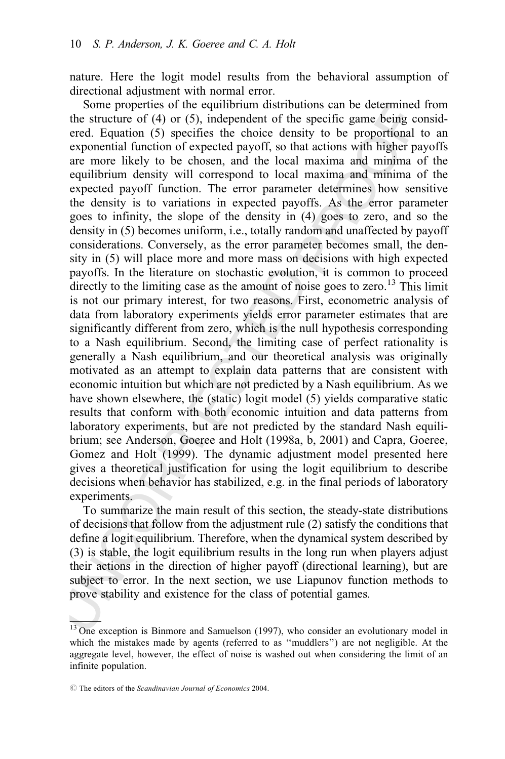nature. Here the logit model results from the behavioral assumption of directional adjustment with normal error.

Some properties of the equilibrium distributions can be determined<br>of the structure of (4) or (5), independent of the specific game being c<br>erd. Equation (5) specifies the choice density to be proportional<br>are more likely Some properties of the equilibrium distributions can be determined from the structure of (4) or (5), independent of the specific game being considered. Equation (5) specifies the choice density to be proportional to an exponential function of expected payoff, so that actions with higher payoffs are more likely to be chosen, and the local maxima and minima of the equilibrium density will correspond to local maxima and minima of the expected payoff function. The error parameter determines how sensitive the density is to variations in expected payoffs. As the error parameter goes to infinity, the slope of the density in (4) goes to zero, and so the density in (5) becomes uniform, i.e., totally random and unaffected by payoff considerations. Conversely, as the error parameter becomes small, the density in (5) will place more and more mass on decisions with high expected payoffs. In the literature on stochastic evolution, it is common to proceed directly to the limiting case as the amount of noise goes to zero.<sup>13</sup> This limit is not our primary interest, for two reasons. First, econometric analysis of data from laboratory experiments yields error parameter estimates that are significantly different from zero, which is the null hypothesis corresponding to a Nash equilibrium. Second, the limiting case of perfect rationality is generally a Nash equilibrium, and our theoretical analysis was originally motivated as an attempt to explain data patterns that are consistent with economic intuition but which are not predicted by a Nash equilibrium. As we have shown elsewhere, the (static) logit model (5) yields comparative static results that conform with both economic intuition and data patterns from laboratory experiments, but are not predicted by the standard Nash equilibrium; see Anderson, Goeree and Holt (1998a, b, 2001) and Capra, Goeree, Gomez and Holt (1999). The dynamic adjustment model presented here gives a theoretical justification for using the logit equilibrium to describe decisions when behavior has stabilized, e.g. in the final periods of laboratory experiments.

To summarize the main result of this section, the steady-state distributions of decisions that follow from the adjustment rule (2) satisfy the conditions that define a logit equilibrium. Therefore, when the dynamical system described by (3) is stable, the logit equilibrium results in the long run when players adjust their actions in the direction of higher payoff (directional learning), but are subject to error. In the next section, we use Liapunov function methods to prove stability and existence for the class of potential games.

<sup>&</sup>lt;sup>13</sup> One exception is Binmore and Samuelson (1997), who consider an evolutionary model in which the mistakes made by agents (referred to as ''muddlers'') are not negligible. At the aggregate level, however, the effect of noise is washed out when considering the limit of an infinite population.

 $\circ$  The editors of the Scandinavian Journal of Economics 2004.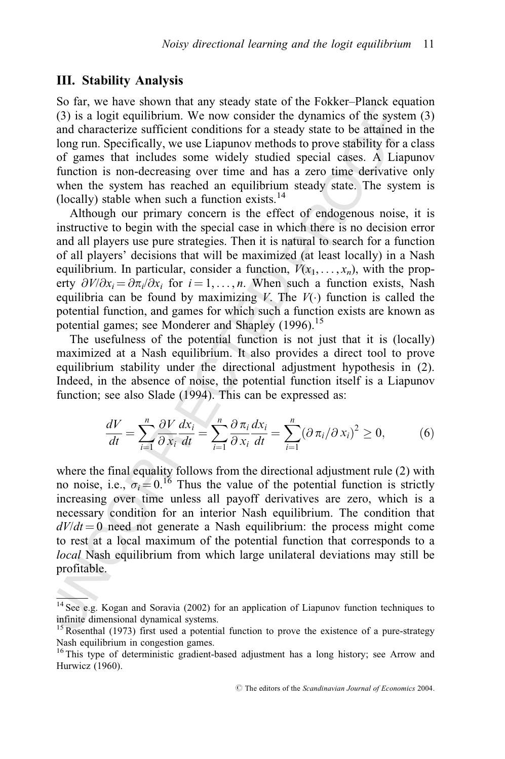#### III. Stability Analysis

So far, we have shown that any steady state of the Fokker–Planck equation (3) is a logit equilibrium. We now consider the dynamics of the system (3) and characterize sufficient conditions for a steady state to be attained in the long run. Specifically, we use Liapunov methods to prove stability for a class of games that includes some widely studied special cases. A Liapunov function is non-decreasing over time and has a zero time derivative only when the system has reached an equilibrium steady state. The system is (locally) stable when such a function exists. $^{14}$ 

So ia, we have solven that any seasy state of the towels-1 thats equilibrium. We now consider the dynamics of the system and characterize sufficient conditions for a steady state to be attained or a state of games that in Although our primary concern is the effect of endogenous noise, it is instructive to begin with the special case in which there is no decision error and all players use pure strategies. Then it is natural to search for a function of all players' decisions that will be maximized (at least locally) in a Nash equilibrium. In particular, consider a function,  $V(x_1,...,x_n)$ , with the property  $\partial V/\partial x_i = \partial \pi/\partial x_i$  for  $i = 1, ..., n$ . When such a function exists, Nash equilibria can be found by maximizing  $V$ . The  $V(\cdot)$  function is called the potential function, and games for which such a function exists are known as potential games; see Monderer and Shapley (1996).<sup>15</sup>

The usefulness of the potential function is not just that it is (locally) maximized at a Nash equilibrium. It also provides a direct tool to prove equilibrium stability under the directional adjustment hypothesis in (2). Indeed, in the absence of noise, the potential function itself is a Liapunov function; see also Slade (1994). This can be expressed as:

$$
\frac{dV}{dt} = \sum_{i=1}^{n} \frac{\partial V}{\partial x_i} \frac{dx_i}{dt} = \sum_{i=1}^{n} \frac{\partial \pi_i}{\partial x_i} \frac{dx_i}{dt} = \sum_{i=1}^{n} (\partial \pi_i / \partial x_i)^2 \ge 0,
$$
(6)

where the final equality follows from the directional adjustment rule (2) with no noise, i.e.,  $\sigma_i = 0^{16}$  Thus the value of the potential function is strictly increasing over time unless all payoff derivatives are zero, which is a necessary condition for an interior Nash equilibrium. The condition that  $dV/dt = 0$  need not generate a Nash equilibrium: the process might come to rest at a local maximum of the potential function that corresponds to a local Nash equilibrium from which large unilateral deviations may still be profitable.

<sup>&</sup>lt;sup>14</sup> See e.g. Kogan and Soravia (2002) for an application of Liapunov function techniques to infinite dimensional dynamical systems.

<sup>&</sup>lt;sup>15</sup> Rosenthal (1973) first used a potential function to prove the existence of a pure-strategy Nash equilibrium in congestion games.

<sup>&</sup>lt;sup>16</sup> This type of deterministic gradient-based adjustment has a long history; see Arrow and Hurwicz (1960).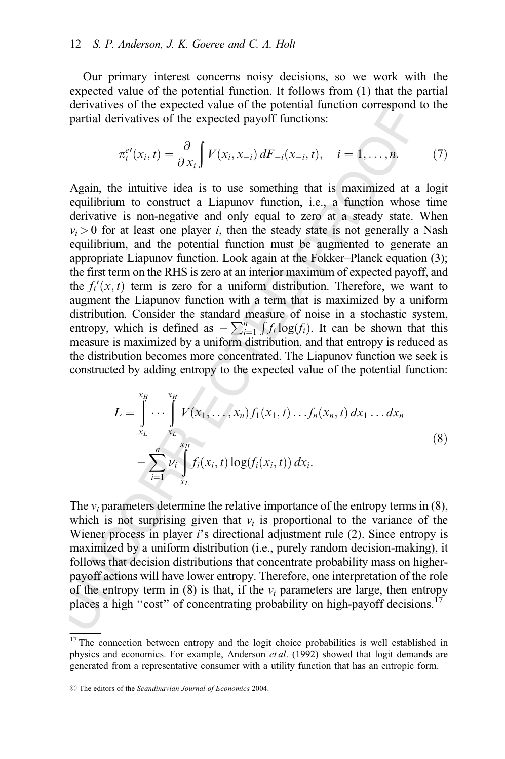Our primary interest concerns noisy decisions, so we work with the expected value of the potential function. It follows from (1) that the partial derivatives of the expected value of the potential function correspond to the partial derivatives of the expected payoff functions:

$$
\pi_i^{e'}(x_i, t) = \frac{\partial}{\partial x_i} \int V(x_i, x_{-i}) dF_{-i}(x_{-i}, t), \quad i = 1, \dots, n. \tag{7}
$$

derivatives of the expected value of the potential intuition correspond<br>partial derivatives of the expected apporfi functions:<br>  $\pi_i^{(r)}(x_i, t) = \frac{\partial}{\partial x_i} \int V(x_i, x_{-i}) dF_{-i}(x_{-i}, t), \quad i = 1, ..., n$ .<br>
Again, the inituitive idea is t Again, the intuitive idea is to use something that is maximized at a logit equilibrium to construct a Liapunov function, i.e., a function whose time derivative is non-negative and only equal to zero at a steady state. When  $v_i>0$  for at least one player *i*, then the steady state is not generally a Nash equilibrium, and the potential function must be augmented to generate an appropriate Liapunov function. Look again at the Fokker–Planck equation (3); the first term on the RHS is zero at an interior maximum of expected payoff, and the  $f_i'(x, t)$  term is zero for a uniform distribution. Therefore, we want to augment the Liapunov function with a term that is maximized by a uniform distribution. Consider the standard measure of noise in a stochastic system, entropy, which is defined as  $-\sum_{i=1}^{n}$ asure of holse in a stochastic system,<br> $\int f_i \log(f_i)$ . It can be shown that this measure is maximized by a uniform distribution, and that entropy is reduced as the distribution becomes more concentrated. The Liapunov function we seek is constructed by adding entropy to the expected value of the potential function:

$$
L = \int_{x_L}^{x_H} \cdots \int_{x_L}^{x_H} V(x_1, \ldots, x_n) f_1(x_1, t) \ldots f_n(x_n, t) dx_1 \ldots dx_n
$$
  

$$
- \sum_{i=1}^n \nu_i \int_{x_L}^{x_H} f_i(x_i, t) \log(f_i(x_i, t)) dx_i.
$$
 (8)

The  $v_i$  parameters determine the relative importance of the entropy terms in (8), which is not surprising given that  $v_i$  is proportional to the variance of the Wiener process in player *i*'s directional adjustment rule (2). Since entropy is maximized by a uniform distribution (i.e., purely random decision-making), it follows that decision distributions that concentrate probability mass on higherpayoff actions will have lower entropy. Therefore, one interpretation of the role of the entropy term in (8) is that, if the  $v_i$  parameters are large, then entropy places a high "cost" of concentrating probability on high-payoff decisions.<sup>1</sup>

<sup>&</sup>lt;sup>17</sup> The connection between entropy and the logit choice probabilities is well established in physics and economics. For example, Anderson et al. (1992) showed that logit demands are generated from a representative consumer with a utility function that has an entropic form.

 $\circ$  The editors of the Scandinavian Journal of Economics 2004.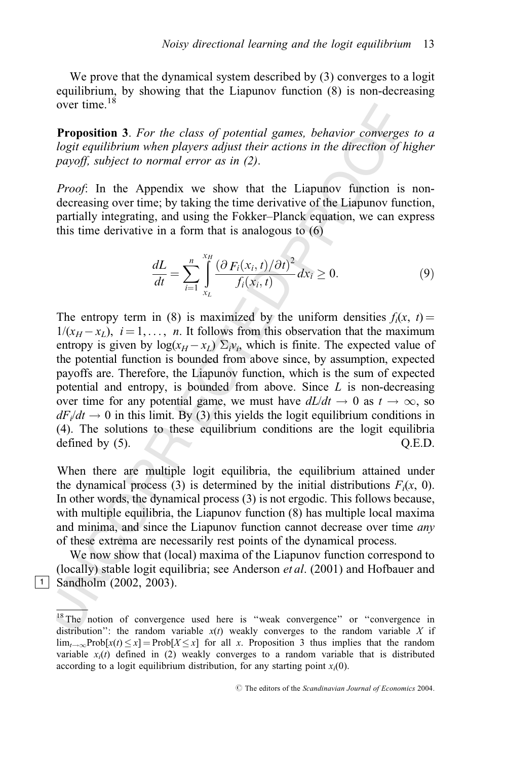We prove that the dynamical system described by (3) converges to a logit equilibrium, by showing that the Liapunov function (8) is non-decreasing over time.<sup>18</sup>

Proposition 3. For the class of potential games, behavior converges to a logit equilibrium when players adjust their actions in the direction of higher payoff, subject to normal error as in (2).

Proof: In the Appendix we show that the Liapunov function is nondecreasing over time; by taking the time derivative of the Liapunov function, partially integrating, and using the Fokker–Planck equation, we can express this time derivative in a form that is analogous to (6)

$$
\frac{dL}{dt} = \sum_{i=1}^{n} \int_{x_L}^{x_H} \frac{\left(\partial F_i(x_i, t)/\partial t\right)^2}{f_i(x_i, t)} dx_i \ge 0.
$$
\n(9)

over time."<br> **Proposition 3.** For the class of potential games, behavior converges<br>
payer equilibrium when players adjust their actions in the direction of h<br>
payerff, subject to normal error as in (2).<br>
Proof: In the App The entropy term in (8) is maximized by the uniform densities  $f_i(x, t) =$  $1/(x_H - x_L)$ ,  $i = 1, ..., n$ . It follows from this observation that the maximum entropy is given by  $log(x_H - x_I) \Sigma_i v_i$ , which is finite. The expected value of the potential function is bounded from above since, by assumption, expected payoffs are. Therefore, the Liapunov function, which is the sum of expected potential and entropy, is bounded from above. Since  $L$  is non-decreasing over time for any potential game, we must have  $dL/dt \rightarrow 0$  as  $t \rightarrow \infty$ , so  $dF/dt \rightarrow 0$  in this limit. By (3) this yields the logit equilibrium conditions in (4). The solutions to these equilibrium conditions are the logit equilibria defined by  $(5)$ . Q.E.D.

When there are multiple logit equilibria, the equilibrium attained under the dynamical process (3) is determined by the initial distributions  $F_i(x, 0)$ . In other words, the dynamical process (3) is not ergodic. This follows because, with multiple equilibria, the Liapunov function  $(8)$  has multiple local maxima and minima, and since the Liapunov function cannot decrease over time any of these extrema are necessarily rest points of the dynamical process.

We now show that (local) maxima of the Liapunov function correspond to (locally) stable logit equilibria; see Anderson et al. (2001) and Hofbauer and 1 Sandholm (2002, 2003).

<sup>&</sup>lt;sup>18</sup> The notion of convergence used here is "weak convergence" or "convergence in distribution": the random variable  $x(t)$  weakly converges to the random variable X if  $\lim_{t\to\infty}$ Prob[x(t)  $\leq x$ ] = Prob[X $\leq x$ ] for all x. Proposition 3 thus implies that the random variable  $x_i(t)$  defined in (2) weakly converges to a random variable that is distributed according to a logit equilibrium distribution, for any starting point  $x_i(0)$ .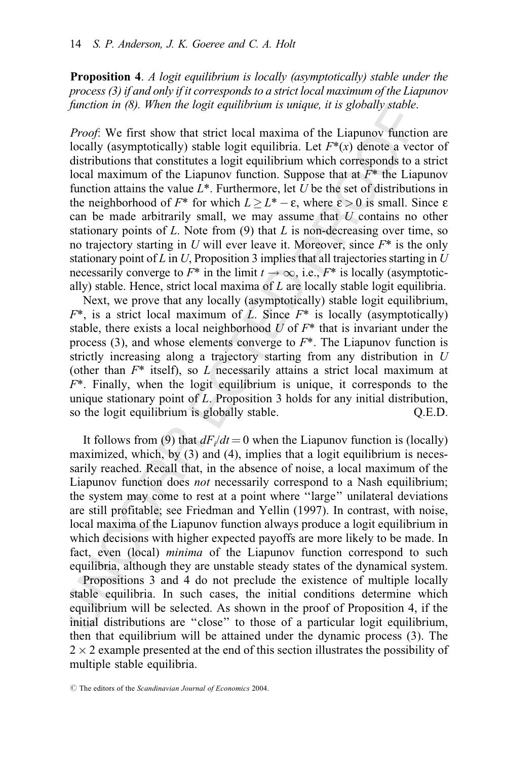**Proposition 4.** A logit equilibrium is locally (asymptotically) stable under the process (3) if and only if it corresponds to a strict local maximum of the Liapunov function in (8). When the logit equilibrium is unique, it is globally stable.

function in (8). When the logit equalibrum is unique, it is globally stable.<br> *Proof:* We first show that strict local maxima of the Liapunov functionally (asymptotically) stable logit equilibrian. Let  $f^*(s)$  denote a ve Proof: We first show that strict local maxima of the Liapunov function are locally (asymptotically) stable logit equilibria. Let  $F^*(x)$  denote a vector of distributions that constitutes a logit equilibrium which corresponds to a strict local maximum of the Liapunov function. Suppose that at  $F^*$  the Liapunov function attains the value  $L^*$ . Furthermore, let U be the set of distributions in the neighborhood of  $F^*$  for which  $L \geq L^* - \varepsilon$ , where  $\varepsilon > 0$  is small. Since  $\varepsilon$ can be made arbitrarily small, we may assume that  $U$  contains no other stationary points of L. Note from  $(9)$  that L is non-decreasing over time, so no trajectory starting in U will ever leave it. Moreover, since  $F^*$  is the only stationary point of  $L$  in  $U$ , Proposition 3 implies that all trajectories starting in  $U$ necessarily converge to  $F^*$  in the limit  $t \to \infty$ , i.e.,  $F^*$  is locally (asymptotically) stable. Hence, strict local maxima of  $L$  are locally stable logit equilibria.

Next, we prove that any locally (asymptotically) stable logit equilibrium,  $F^*$ , is a strict local maximum of L. Since  $F^*$  is locally (asymptotically) stable, there exists a local neighborhood  $U$  of  $F^*$  that is invariant under the process (3), and whose elements converge to  $F^*$ . The Liapunov function is strictly increasing along a trajectory starting from any distribution in U (other than  $F^*$  itself), so L necessarily attains a strict local maximum at  $F^*$ . Finally, when the logit equilibrium is unique, it corresponds to the unique stationary point of L. Proposition 3 holds for any initial distribution, so the logit equilibrium is globally stable.  $Q.E.D.$ 

It follows from (9) that  $dF/dt = 0$  when the Liapunov function is (locally) maximized, which, by (3) and (4), implies that a logit equilibrium is necessarily reached. Recall that, in the absence of noise, a local maximum of the Liapunov function does *not* necessarily correspond to a Nash equilibrium; the system may come to rest at a point where ''large'' unilateral deviations are still profitable; see Friedman and Yellin (1997). In contrast, with noise, local maxima of the Liapunov function always produce a logit equilibrium in which decisions with higher expected payoffs are more likely to be made. In fact, even (local) *minima* of the Liapunov function correspond to such equilibria, although they are unstable steady states of the dynamical system.

Propositions 3 and 4 do not preclude the existence of multiple locally stable equilibria. In such cases, the initial conditions determine which equilibrium will be selected. As shown in the proof of Proposition 4, if the initial distributions are ''close'' to those of a particular logit equilibrium, then that equilibrium will be attained under the dynamic process (3). The  $2 \times 2$  example presented at the end of this section illustrates the possibility of multiple stable equilibria.

 $\circ$  The editors of the Scandinavian Journal of Economics 2004.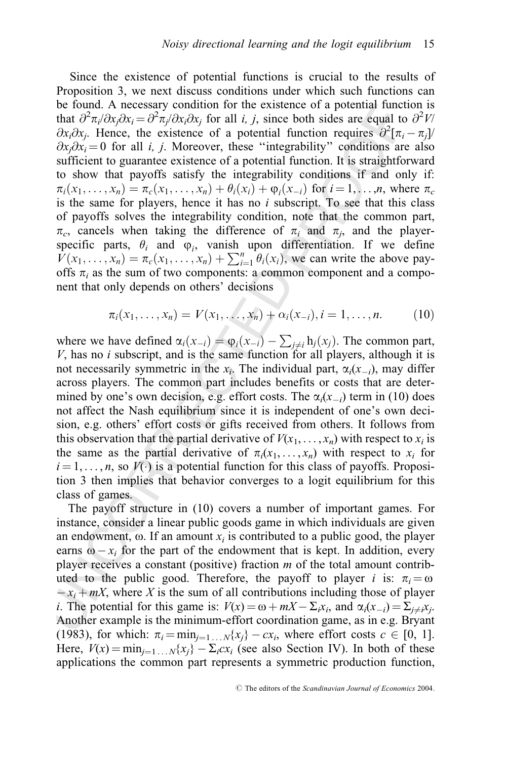be found. A necessary condution for the existence of a potential function<br>btat  $\partial^2 \pi/\partial x \partial x_1 = \partial^2 \pi/\partial x_1 \partial x_2$  for all *i*, *j*, since both sides are equal to  $\partial x_1 \partial x_2$ ,  $\partial x_3 \partial x_3$ , = 0 for all *i*, *j*. Moreover, Since the existence of potential functions is crucial to the results of Proposition 3, we next discuss conditions under which such functions can be found. A necessary condition for the existence of a potential function is that  $\partial^2 \pi_i/\partial x_j \partial x_i = \partial^2 \pi_j/\partial x_i \partial x_j$  for all *i*, *j*, since both sides are equal to  $\partial^2 V$  $\partial x_i \partial x_j$ . Hence, the existence of a potential function requires  $\partial^2 [\pi_i - \pi_j]$ /  $\partial x_i \partial x_i = 0$  for all *i*, *j*. Moreover, these "integrability" conditions are also sufficient to guarantee existence of a potential function. It is straightforward to show that payoffs satisfy the integrability conditions if and only if:  $\pi_i(x_1,\ldots,x_n)=\pi_c(x_1,\ldots,x_n)+\theta_i(x_i)+\varphi_i(x_{-i})$  for  $i=1,\ldots,n$ , where  $\pi_c$ is the same for players, hence it has no  $i$  subscript. To see that this class of payoffs solves the integrability condition, note that the common part,  $\pi_c$ , cancels when taking the difference of  $\pi_i$  and  $\pi_i$ , and the playerspecific parts,  $\theta_i$  and  $\varphi_i$ , vanish upon differentiation. If we define  $V(x_1, \ldots, x_n) = \pi_c(x_1, \ldots, x_n) + \sum_{i=1}^n \theta_i(x_i)$ , we can write the above payoffs  $\pi_i$  as the sum of two components: a common component and a component that only depends on others' decisions

$$
\pi_i(x_1, \ldots, x_n) = V(x_1, \ldots, x_n) + \alpha_i(x_{-i}), i = 1, \ldots, n.
$$
 (10)

where we have defined  $\alpha_i(x_{-i}) = \varphi_i(x_{-i}) - \sum_{j \neq i} h_j(x_j)$ . The common part,  $V$ , has no i subscript, and is the same function for all players, although it is not necessarily symmetric in the  $x_i$ . The individual part,  $\alpha_i(x_{-i})$ , may differ across players. The common part includes benefits or costs that are determined by one's own decision, e.g. effort costs. The  $\alpha_i(x_{-i})$  term in (10) does not affect the Nash equilibrium since it is independent of one's own decision, e.g. others' effort costs or gifts received from others. It follows from this observation that the partial derivative of  $V(x_1,...,x_n)$  with respect to  $x_i$  is the same as the partial derivative of  $\pi_i(x_1,...,x_n)$  with respect to  $x_i$  for  $i = 1, \ldots, n$ , so  $V(\cdot)$  is a potential function for this class of payoffs. Proposition 3 then implies that behavior converges to a logit equilibrium for this class of games.

The payoff structure in (10) covers a number of important games. For instance, consider a linear public goods game in which individuals are given an endowment,  $\omega$ . If an amount  $x_i$  is contributed to a public good, the player earns  $\omega - x_i$  for the part of the endowment that is kept. In addition, every player receives a constant (positive) fraction m of the total amount contributed to the public good. Therefore, the payoff to player *i* is:  $\pi_i = \omega$  $-x_i + mX$ , where X is the sum of all contributions including those of player *i*. The potential for this game is:  $V(x) = \omega + mX - \Sigma_i x_i$ , and  $\alpha_i(x_{-i}) = \Sigma_{i \neq i} x_i$ . Another example is the minimum-effort coordination game, as in e.g. Bryant (1983), for which:  $\pi_i = \min_{j=1...N} \{x_j\} - cx_i$ , where effort costs  $c \in [0, 1]$ . Here,  $V(x) = \min_{i=1,\ldots,N} \{x_i\} - \sum_i cx_i$  (see also Section IV). In both of these applications the common part represents a symmetric production function,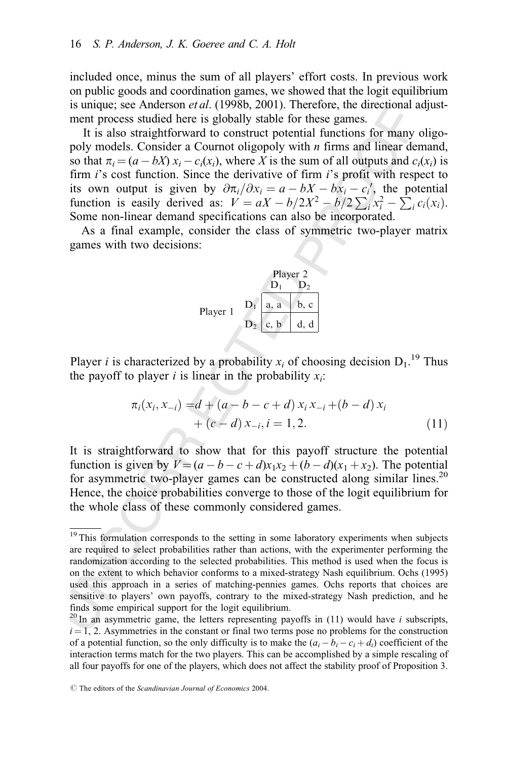included once, minus the sum of all players' effort costs. In previous work on public goods and coordination games, we showed that the logit equilibrium is unique; see Anderson *et al.* (1998b, 2001). Therefore, the directional adjustment process studied here is globally stable for these games.

is unique; see Anderson *etal.* (1998b), 2001). Interbote, the three areas and the stational and<br>the type condition and the station of the station of the station of the station of the station of the station of the station It is also straightforward to construct potential functions for many oligopoly models. Consider a Cournot oligopoly with  $n$  firms and linear demand, so that  $\pi_i = (a - bX)x_i - c_i(x_i)$ , where X is the sum of all outputs and  $c_i(x_i)$  is firm  $i$ 's cost function. Since the derivative of firm  $i$ 's profit with respect to its own output is given by  $\partial \pi_i / \partial x_i = a - bX - bx_i - c_i'$ , the potential function is easily derived as:  $V = aX - b/2X^2 - b/2\sum_i x_i^2 - \sum_i c_i(x_i)$ . Some non-linear demand specifications can also be incorporated.

As a final example, consider the class of symmetric two-player matrix games with two decisions:

| Player 1 | $D_1$ | $D_2$ |      |
|----------|-------|-------|------|
| Player 1 | $D_1$ | a, a  | b, c |
| $D_2$    | c, b  | d, d  |      |

Player *i* is characterized by a probability  $x_i$  of choosing decision  $D_1$ .<sup>19</sup> Thus the payoff to player *i* is linear in the probability  $x_i$ :

$$
\pi_i(x_i, x_{-i}) = d + (a - b - c + d) x_i x_{-i} + (b - d) x_i
$$
  
+  $(c - d) x_{-i}, i = 1, 2.$  (11)

It is straightforward to show that for this payoff structure the potential function is given by  $V = (a - b - c + d)x_1x_2 + (b - d)(x_1 + x_2)$ . The potential for asymmetric two-player games can be constructed along similar lines.<sup>20</sup> Hence, the choice probabilities converge to those of the logit equilibrium for the whole class of these commonly considered games.

<sup>&</sup>lt;sup>19</sup> This formulation corresponds to the setting in some laboratory experiments when subjects are required to select probabilities rather than actions, with the experimenter performing the randomization according to the selected probabilities. This method is used when the focus is on the extent to which behavior conforms to a mixed-strategy Nash equilibrium. Ochs (1995) used this approach in a series of matching-pennies games. Ochs reports that choices are sensitive to players' own payoffs, contrary to the mixed-strategy Nash prediction, and he finds some empirical support for the logit equilibrium.

 $^{20}$  In an asymmetric game, the letters representing payoffs in (11) would have *i* subscripts,  $i = 1, 2$ . Asymmetries in the constant or final two terms pose no problems for the construction of a potential function, so the only difficulty is to make the  $(a_i - b_i - c_i + d_i)$  coefficient of the interaction terms match for the two players. This can be accomplished by a simple rescaling of all four payoffs for one of the players, which does not affect the stability proof of Proposition 3.

 $\circ$  The editors of the Scandinavian Journal of Economics 2004.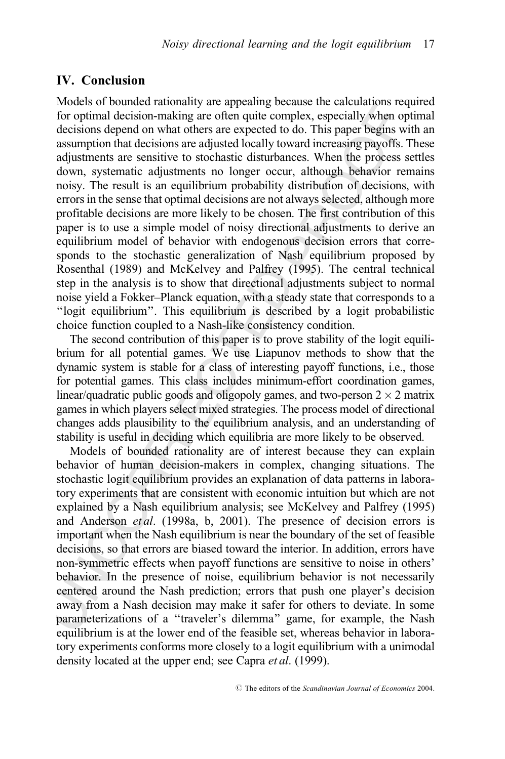#### IV. Conclusion

woods or ootmeta ratumely are signearing octans in captially shape of the continual decision-making are often quite complex, especially when or decisions depend on what other are expected to do. This paper begins adjustmen Models of bounded rationality are appealing because the calculations required for optimal decision-making are often quite complex, especially when optimal decisions depend on what others are expected to do. This paper begins with an assumption that decisions are adjusted locally toward increasing payoffs. These adjustments are sensitive to stochastic disturbances. When the process settles down, systematic adjustments no longer occur, although behavior remains noisy. The result is an equilibrium probability distribution of decisions, with errors in the sense that optimal decisions are not always selected, although more profitable decisions are more likely to be chosen. The first contribution of this paper is to use a simple model of noisy directional adjustments to derive an equilibrium model of behavior with endogenous decision errors that corresponds to the stochastic generalization of Nash equilibrium proposed by Rosenthal (1989) and McKelvey and Palfrey (1995). The central technical step in the analysis is to show that directional adjustments subject to normal noise yield a Fokker–Planck equation, with a steady state that corresponds to a ''logit equilibrium''. This equilibrium is described by a logit probabilistic choice function coupled to a Nash-like consistency condition.

The second contribution of this paper is to prove stability of the logit equilibrium for all potential games. We use Liapunov methods to show that the dynamic system is stable for a class of interesting payoff functions, i.e., those for potential games. This class includes minimum-effort coordination games, linear/quadratic public goods and oligopoly games, and two-person  $2 \times 2$  matrix games in which players select mixed strategies. The process model of directional changes adds plausibility to the equilibrium analysis, and an understanding of stability is useful in deciding which equilibria are more likely to be observed.

Models of bounded rationality are of interest because they can explain behavior of human decision-makers in complex, changing situations. The stochastic logit equilibrium provides an explanation of data patterns in laboratory experiments that are consistent with economic intuition but which are not explained by a Nash equilibrium analysis; see McKelvey and Palfrey (1995) and Anderson et al. (1998a, b, 2001). The presence of decision errors is important when the Nash equilibrium is near the boundary of the set of feasible decisions, so that errors are biased toward the interior. In addition, errors have non-symmetric effects when payoff functions are sensitive to noise in others' behavior. In the presence of noise, equilibrium behavior is not necessarily centered around the Nash prediction; errors that push one player's decision away from a Nash decision may make it safer for others to deviate. In some parameterizations of a "traveler's dilemma" game, for example, the Nash equilibrium is at the lower end of the feasible set, whereas behavior in laboratory experiments conforms more closely to a logit equilibrium with a unimodal density located at the upper end; see Capra *et al.* (1999).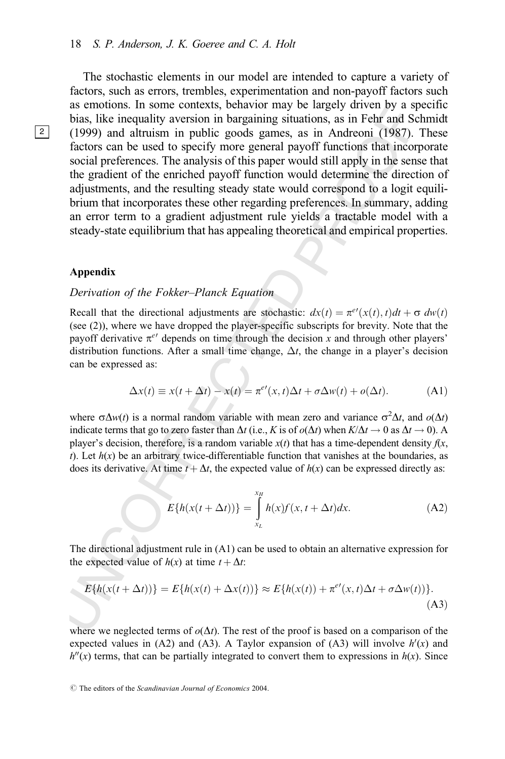as enotons. In some contexts, behavior may be largely driven by a sign<br>bias, like inequality aversion in bargaining situations, as in Fehr and Sc<br>(1999) and altruism in public goods games, as in Andreoni (1987).<br>
Actions The stochastic elements in our model are intended to capture a variety of factors, such as errors, trembles, experimentation and non-payoff factors such as emotions. In some contexts, behavior may be largely driven by a specific bias, like inequality aversion in bargaining situations, as in Fehr and Schmidt (1999) and altruism in public goods games, as in Andreoni (1987). These factors can be used to specify more general payoff functions that incorporate social preferences. The analysis of this paper would still apply in the sense that the gradient of the enriched payoff function would determine the direction of adjustments, and the resulting steady state would correspond to a logit equilibrium that incorporates these other regarding preferences. In summary, adding an error term to a gradient adjustment rule yields a tractable model with a steady-state equilibrium that has appealing theoretical and empirical properties.

#### Appendix

#### Derivation of the Fokker–Planck Equation

Recall that the directional adjustments are stochastic:  $dx(t) = \pi^{e'}(x(t), t)dt + \sigma dw(t)$ (see (2)), where we have dropped the player-specific subscripts for brevity. Note that the payoff derivative  $\pi^{e'}$  depends on time through the decision x and through other players' distribution functions. After a small time change,  $\Delta t$ , the change in a player's decision can be expressed as:

$$
\Delta x(t) \equiv x(t + \Delta t) - x(t) = \pi^{e'}(x, t)\Delta t + \sigma \Delta w(t) + o(\Delta t). \tag{A1}
$$

where  $\sigma \Delta w(t)$  is a normal random variable with mean zero and variance  $\sigma^2 \Delta t$ , and  $o(\Delta t)$ indicate terms that go to zero faster than  $\Delta t$  (i.e., K is of  $o(\Delta t)$  when  $K/\Delta t \rightarrow 0$  as  $\Delta t \rightarrow 0$ ). A player's decision, therefore, is a random variable  $x(t)$  that has a time-dependent density  $f(x)$ , t). Let  $h(x)$  be an arbitrary twice-differentiable function that vanishes at the boundaries, as does its derivative. At time  $t + \Delta t$ , the expected value of  $h(x)$  can be expressed directly as:

$$
E\{h(x(t+\Delta t))\} = \int_{x_L}^{x_H} h(x)f(x, t+\Delta t)dx.
$$
 (A2)

The directional adjustment rule in (A1) can be used to obtain an alternative expression for the expected value of  $h(x)$  at time  $t + \Delta t$ :

$$
E\{h(x(t+\Delta t))\} = E\{h(x(t)+\Delta x(t))\} \approx E\{h(x(t)) + \pi^{e'}(x,t)\Delta t + \sigma \Delta w(t))\}.
$$
\n(A3)

where we neglected terms of  $o(\Delta t)$ . The rest of the proof is based on a comparison of the expected values in (A2) and (A3). A Taylor expansion of (A3) will involve  $h'(x)$  and  $h''(x)$  terms, that can be partially integrated to convert them to expressions in  $h(x)$ . Since

 $\circ$  The editors of the Scandinavian Journal of Economics 2004.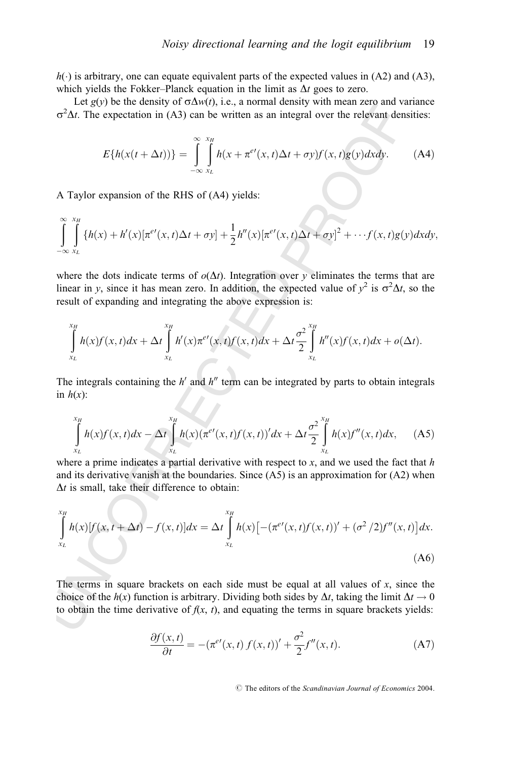$h(\cdot)$  is arbitrary, one can equate equivalent parts of the expected values in (A2) and (A3), which vields the Fokker–Planck equation in the limit as  $\Delta t$  goes to zero.

Let  $g(y)$  be the density of  $\sigma \Delta w(t)$ , i.e., a normal density with mean zero and variance  $\sigma^2 \Delta t$ . The expectation in (A3) can be written as an integral over the relevant densities:

$$
E\{h(x(t+\Delta t))\} = \int_{-\infty}^{\infty} \int_{x_L}^{x_H} h(x + \pi^{e'}(x, t)\Delta t + \sigma y)f(x, t)g(y)dxdy.
$$
 (A4)

A Taylor expansion of the RHS of (A4) yields:

$$
\int_{-\infty}^{\infty}\int_{x_L}^{x_H} \left\{h(x)+h'(x)[\pi^{e'}(x,t)\Delta t+\sigma y]+\frac{1}{2}h''(x)[\pi^{e'}(x,t)\Delta t+\sigma y]^2+\cdots f(x,t)g(y)dxdy\right\}
$$

where the dots indicate terms of  $o(\Delta t)$ . Integration over y eliminates the terms that are linear in y, since it has mean zero. In addition, the expected value of  $y^2$  is  $\sigma^2 \Delta t$ , so the result of expanding and integrating the above expression is:

$$
\int_{x_L}^{x_H} h(x)f(x,t)dx + \Delta t \int_{x_L}^{x_H} h'(x)\pi^{e}(x,t)f(x,t)dx + \Delta t \frac{\sigma^2}{2} \int_{x_L}^{x_H} h''(x)f(x,t)dx + o(\Delta t).
$$

The integrals containing the  $h'$  and  $h''$  term can be integrated by parts to obtain integrals in  $h(x)$ :

$$
\int_{x_L}^{x_H} h(x)f(x,t)dx - \Delta t \int_{x_L}^{x_H} h(x)(\pi^{e'}(x,t)f(x,t))'dx + \Delta t \frac{\sigma^2}{2} \int_{x_L}^{x_H} h(x)f''(x,t)dx, \quad (A5)
$$

where a prime indicates a partial derivative with respect to x, and we used the fact that  $h$ and its derivative vanish at the boundaries. Since (A5) is an approximation for (A2) when  $\Delta t$  is small, take their difference to obtain:

Let *g*(*y*) be the density of ΩΔ*w*(*t*), i.e., a normal density with mean zero and variance  
\nσ<sup>2</sup>Δ*t*. The expectation in (A3) can be written as an integral over the relevant densities:  
\n
$$
E{h(x(t + Δt))} = \int_{-\infty}^{\infty} \int_{x_L}^{x_H} h(x + \pi^{e}(x, t)Δt + \sigma y) f(x, t)g(y) dx dy.
$$
\n(A4)  
\nA Taylor expansion of the RHS of (A4) yields:  
\n
$$
\int_{-\infty}^{\infty} \int_{x_L}^{x_H} {h(x) + h'(x)[\pi^{e'}(x, t)Δt + \sigma y] + \frac{1}{2}h''(x)[\pi^{e'}(x, t)Δt + \sigma y]^2 + \cdots f(x, t)g(y) dx dy}
$$
\nwhere the dots indicate terms of  $o(Δt)$ . Integration over *y* eliminates the terms that are  
\nresult of expanding and integrating the above expression is:  
\n
$$
\int_{x_L}^{x_H} h(x)f(x, t)dx + Δt \int_{x_L}^{x_H} h'(x)\pi^{e'}(x, t)f(x, t)dx + Δt \frac{\sigma^2}{2} \int_{x_L}^{x_H} h''(x)f(x, t)dx + o(Δt).
$$
\nThe integrals containing the *h'* and *h''* term can be integrated by parts to obtain integrals  
\nin *h*(*x*):  
\nThe integrals containing the *h'* and *h''* term can be integrated by parts to obtain integrals  
\nin *h*(*x*):  
\nwhere a prime indicates a partial derivative with respect to *x*, and we used the fact that *h*  
\nand its derivative vanish at the boundaries. Since (A5) is an approximation for (A2) when  
\nand its derivative vanish at the boundaries. Since (A5) is an approximation for (A2) when  
\n
$$
\int_{x_L}^{x_H} h(x)[f(x, t + Δt) - f(x, t)]dx = Δt \int_{x_L}^{x_H} h(x) [-(\pi^{e'}(x, t)f(x, t))' + (\sigma^2/2)f''(x, t)]dx.
$$
\n(A6)  
\nThe terms in square brackets on each side must be equal at all values of *x*, since the  
\nto obtain the time derivative.

The terms in square brackets on each side must be equal at all values of  $x$ , since the choice of the  $h(x)$  function is arbitrary. Dividing both sides by  $\Delta t$ , taking the limit  $\Delta t \rightarrow 0$ to obtain the time derivative of  $f(x, t)$ , and equating the terms in square brackets yields:

$$
\frac{\partial f(x,t)}{\partial t} = -(\pi^{e'}(x,t) f(x,t))' + \frac{\sigma^2}{2} f''(x,t). \tag{A7}
$$

 $\circ$  The editors of the Scandinavian Journal of Economics 2004.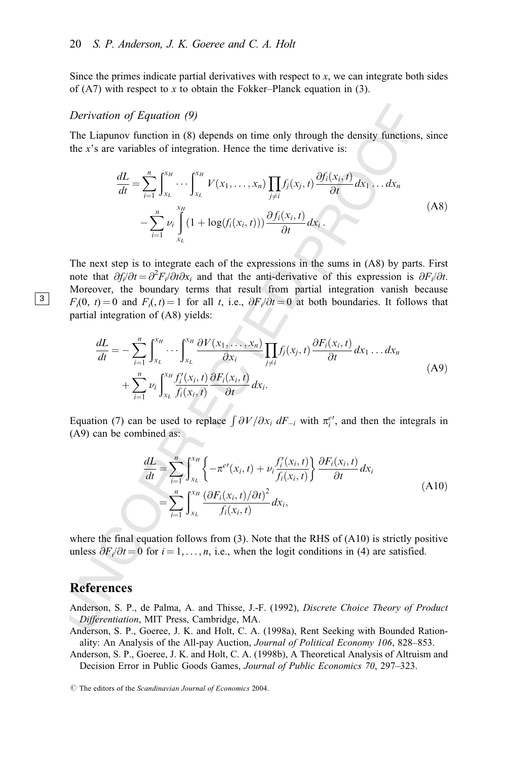Since the primes indicate partial derivatives with respect to  $x$ , we can integrate both sides of  $(A7)$  with respect to x to obtain the Fokker–Planck equation in (3).

#### Derivation of Equation (9)

The Liapunov function in (8) depends on time only through the density functions, since the  $x$ 's are variables of integration. Hence the time derivative is:

*Derivation of Equation (9)*  
\nThe Liapunov function in (8) depends on time only through the density functions, since  
\nthe x's are variables of integration. Hence the time derivative is:  
\n
$$
\frac{dL}{dt} = \sum_{i=1}^{n} \int_{x_L}^{x_H} \cdots \int_{x_L}^{x_H} V(x_1, \ldots, x_n) \prod_{j \neq i} f_j(x_j, t) \frac{\partial f_i(x_i, t)}{\partial t} dx_1 \ldots dx_n
$$
\n
$$
- \sum_{i=1}^{n} \nu_i \int_{x_L}^{x_H} (1 + \log(f_i(x_i, t))) \frac{\partial f_i(x_i, t)}{\partial t} dx_i.
$$
\nThe next step is to integrate each of the expressions in the sums in (A8) by parts. First  
\nnote that  $\frac{\partial f_i}{\partial t} = \frac{\partial F_i}{\partial t} \frac{\partial x_L}{\partial t}$  and that the anti-derivative of this expression is  $\frac{\partial F_i}{\partial t}$ .  
\nMoreover, the boundary terms that result from partial integration vanish because  
\n*F<sub>i</sub>(0, t)* = 0 and *F<sub>i</sub>(*, t) = 1 for all t, i.e.,  $\frac{\partial F_i}{\partial t} = 0$  at both boundaries. It follows that  
\npartial integration of (A8) yields:  
\n
$$
\frac{dL}{dt} = - \sum_{i=1}^{n} \int_{x_L}^{x_H} \cdots \int_{x_L}^{x_H} \frac{\partial V(x_1, \ldots, x_n)}{\partial x_i} \prod_{j \neq i} f_j(x_j, t) \frac{\partial F_i(x_i, t)}{\partial t} dx_1 \ldots dx_n
$$
\n
$$
+ \sum_{i=1}^{n} \nu_i \int_{x_L}^{x_H} \frac{\partial V(x_i, t)}{\partial t} \frac{\partial F_i(x_i, t)}{\partial t} dx_i.
$$
\nEquation (7) can be used to replace  $\int \frac{\partial V}{\partial x_i} \frac{dF_{i-1}}{\partial x_i} \text{ with } \pi_i^{n'},$  and then the integrals in  
\n(A9) can be combined as:  
\n
$$
\frac{dL}{dt} = \sum_{i=1}^{n} \int_{x_L}^{x_H} \left\{-\pi^{e'}(x_i, t) + \nu_1 \frac{\int_{i}^{T}(x_i, t)}{\int_{i}^{T}(x_i, t)}\right\} \frac{\partial F_i(x_i, t)}{\partial t} dx_i
$$

The next step is to integrate each of the expressions in the sums in (A8) by parts. First note that  $\partial f_i/\partial t = \partial^2 F_i/\partial t \partial x_i$  and that the anti-derivative of this expression is  $\partial F_i/\partial t$ . Moreover, the boundary terms that result from partial integration vanish because  $F_i(0, t) = 0$  and  $F_i(0, t) = 1$  for all t, i.e.,  $\partial F_i/\partial t = 0$  at both boundaries. It follows that partial integration of (A8) yields:

$$
\frac{dL}{dt} = -\sum_{i=1}^{n} \int_{x_L}^{x_H} \cdots \int_{x_L}^{x_H} \frac{\partial V(x_1, \ldots, x_n)}{\partial x_i} \prod_{j \neq i} f_j(x_j, t) \frac{\partial F_i(x_i, t)}{\partial t} dx_1 \ldots dx_n \n+ \sum_{i=1}^{n} \nu_i \int_{x_L}^{x_H} \frac{f'_i(x_i, t)}{f_i(x_i, t)} \frac{\partial F_i(x_i, t)}{\partial t} dx_i.
$$
\n(A9)

Equation (7) can be used to replace  $\int \frac{\partial V}{\partial x_i} dF_{-i}$  with  $\pi_i^{e'}$ , and then the integrals in (A9) can be combined as:

$$
\frac{dL}{dt} = \sum_{i=1}^{n} \int_{x_L}^{x_H} \left\{ -\pi^{e'}(x_i, t) + \nu_i \frac{f'_i(x_i, t)}{f_i(x_i, t)} \right\} \frac{\partial F_i(x_i, t)}{\partial t} dx_i
$$
\n
$$
= \sum_{i=1}^{n} \int_{x_L}^{x_H} \frac{(\partial F_i(x_i, t)/\partial t)^2}{f_i(x_i, t)} dx_i,
$$
\n(A10)

where the final equation follows from  $(3)$ . Note that the RHS of  $(A10)$  is strictly positive unless  $\partial F_i/\partial t = 0$  for  $i = 1, ..., n$ , i.e., when the logit conditions in (4) are satisfied.

#### References

3

Anderson, S. P., de Palma, A. and Thisse, J.-F. (1992), Discrete Choice Theory of Product Differentiation, MIT Press, Cambridge, MA.

- Anderson, S. P., Goeree, J. K. and Holt, C. A. (1998a), Rent Seeking with Bounded Rationality: An Analysis of the All-pay Auction, Journal of Political Economy 106, 828–853.
- Anderson, S. P., Goeree, J. K. and Holt, C. A. (1998b), A Theoretical Analysis of Altruism and Decision Error in Public Goods Games, Journal of Public Economics 70, 297–323.

 $\circ$  The editors of the Scandinavian Journal of Economics 2004.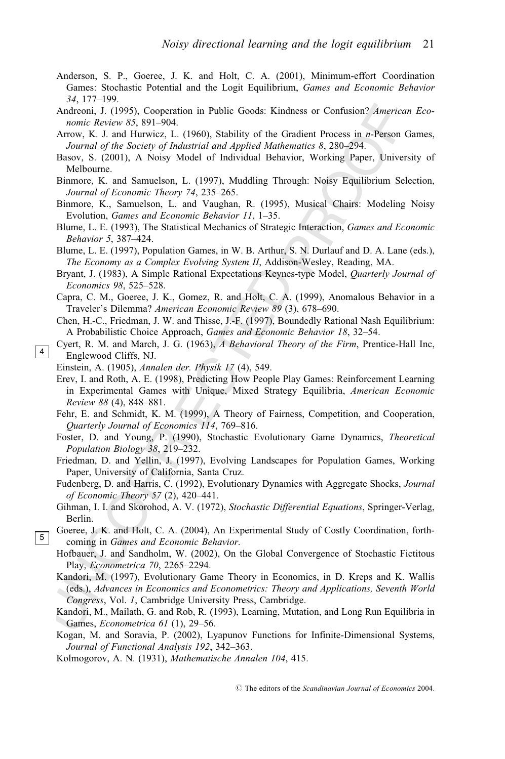- Anderson, S. P., Goeree, J. K. and Holt, C. A. (2001), Minimum-effort Coordination Games: Stochastic Potential and the Logit Equilibrium, Games and Economic Behavior 34, 177–199.
- Andreoni, J. (1995), Cooperation in Public Goods: Kindness or Confusion? American Economic Review 85, 891–904.
- Arrow, K. J. and Hurwicz, L. (1960), Stability of the Gradient Process in n-Person Games, Journal of the Society of Industrial and Applied Mathematics 8, 280–294.
- Basov, S. (2001), A Noisy Model of Individual Behavior, Working Paper, University of Melbourne.
- Binmore, K. and Samuelson, L. (1997), Muddling Through: Noisy Equilibrium Selection, Journal of Economic Theory 74, 235–265.
- Binmore, K., Samuelson, L. and Vaughan, R. (1995), Musical Chairs: Modeling Noisy Evolution, Games and Economic Behavior 11, 1–35.
- Blume, L. E. (1993), The Statistical Mechanics of Strategic Interaction, Games and Economic Behavior 5, 387–424.
- Blume, L. E. (1997), Population Games, in W. B. Arthur, S. N. Durlauf and D. A. Lane (eds.), The Economy as a Complex Evolving System II, Addison-Wesley, Reading, MA.
- Bryant, J. (1983), A Simple Rational Expectations Keynes-type Model, Quarterly Journal of Economics 98, 525–528.
- Capra, C. M., Goeree, J. K., Gomez, R. and Holt, C. A. (1999), Anomalous Behavior in a Traveler's Dilemma? American Economic Review 89 (3), 678–690.
- Chen, H.-C., Friedman, J. W. and Thisse, J.-F. (1997), Boundedly Rational Nash Equilibrium: A Probabilistic Choice Approach, Games and Economic Behavior 18, 32–54.
- Cyert, R. M. and March, J. G. (1963), A Behavioral Theory of the Firm, Prentice-Hall Inc, Englewood Cliffs, NJ.
- Einstein, A. (1905), Annalen der. Physik 17 (4), 549.
- Andreami, J. (1995), Cooperation in Public Goods: Kindness or Confusion? *America*<br>Armow, K. 1. and Hurwicz, L. (1960), Stability of the Gradient Process an *P-P-Hspan Januaral of the Society of Industrial and Applied Mat* Erev, I. and Roth, A. E. (1998), Predicting How People Play Games: Reinforcement Learning in Experimental Games with Unique, Mixed Strategy Equilibria, American Economic Review 88 (4), 848–881.
	- Fehr, E. and Schmidt, K. M. (1999), A Theory of Fairness, Competition, and Cooperation, Quarterly Journal of Economics 114, 769–816.
	- Foster, D. and Young, P. (1990), Stochastic Evolutionary Game Dynamics, Theoretical Population Biology 38, 219–232.
	- Friedman, D. and Yellin, J. (1997), Evolving Landscapes for Population Games, Working Paper, University of California, Santa Cruz.
	- Fudenberg, D. and Harris, C. (1992), Evolutionary Dynamics with Aggregate Shocks, Journal of Economic Theory 57 (2), 420–441.
	- Gihman, I. I. and Skorohod, A. V. (1972), Stochastic Differential Equations, Springer-Verlag, Berlin.
	- Goeree, J. K. and Holt, C. A. (2004), An Experimental Study of Costly Coordination, forthcoming in Games and Economic Behavior.
	- Hofbauer, J. and Sandholm, W. (2002), On the Global Convergence of Stochastic Fictitous Play, Econometrica 70, 2265–2294.
	- Kandori, M. (1997), Evolutionary Game Theory in Economics, in D. Kreps and K. Wallis (eds.), Advances in Economics and Econometrics: Theory and Applications, Seventh World Congress, Vol. 1, Cambridge University Press, Cambridge.
	- Kandori, M., Mailath, G. and Rob, R. (1993), Learning, Mutation, and Long Run Equilibria in Games, Econometrica 61 (1), 29–56.
	- Kogan, M. and Soravia, P. (2002), Lyapunov Functions for Infinite-Dimensional Systems, Journal of Functional Analysis 192, 342–363.
	- Kolmogorov, A. N. (1931), Mathematische Annalen 104, 415.

4

5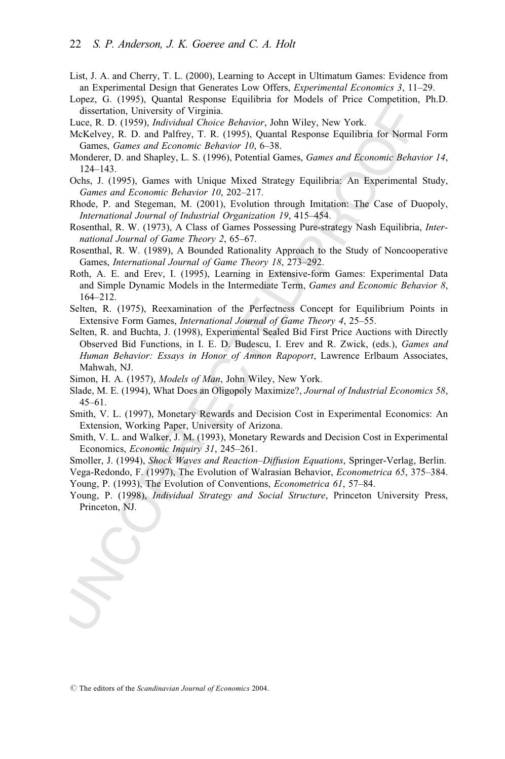- List, J. A. and Cherry, T. L. (2000), Learning to Accept in Ultimatum Games: Evidence from an Experimental Design that Generates Low Offers, Experimental Economics 3, 11-29.
- Lopez, G. (1995), Quantal Response Equilibria for Models of Price Competition, Ph.D. dissertation, University of Virginia.
- Luce, R. D. (1959), Individual Choice Behavior, John Wiley, New York.
- McKelvey, R. D. and Palfrey, T. R. (1995), Quantal Response Equilibria for Normal Form Games, Games and Economic Behavior 10, 6–38.
- Monderer, D. and Shapley, L. S. (1996), Potential Games, Games and Economic Behavior 14, 124–143.
- Ochs, J. (1995), Games with Unique Mixed Strategy Equilibria: An Experimental Study, Games and Economic Behavior 10, 202–217.
- Rhode, P. and Stegeman, M. (2001), Evolution through Imitation: The Case of Duopoly, International Journal of Industrial Organization 19, 415–454.
- Rosenthal, R. W. (1973), A Class of Games Possessing Pure-strategy Nash Equilibria, International Journal of Game Theory 2, 65–67.
- Rosenthal, R. W. (1989), A Bounded Rationality Approach to the Study of Noncooperative Games, International Journal of Game Theory 18, 273–292.
- Roth, A. E. and Erev, I. (1995), Learning in Extensive-form Games: Experimental Data and Simple Dynamic Models in the Intermediate Term, Games and Economic Behavior 8, 164–212.
- Selten, R. (1975), Reexamination of the Perfectness Concept for Equilibrium Points in Extensive Form Games, International Journal of Game Theory 4, 25–55.
- dissertation, University of Virginia.<br>
Lose, R. D. (1959), Individual Choice Behavior, John Wiley, New York.<br>
McKelwy, R. D. and Daftey, T. R. (1995), Occursil Response Equilibria for Norma<br>
Games. Games and Ecronomic Beh Selten, R. and Buchta, J. (1998), Experimental Sealed Bid First Price Auctions with Directly Observed Bid Functions, in I. E. D. Budescu, I. Erev and R. Zwick, (eds.), Games and Human Behavior: Essays in Honor of Amnon Rapoport, Lawrence Erlbaum Associates, Mahwah, NJ.

Simon, H. A. (1957), Models of Man, John Wiley, New York.

- Slade, M. E. (1994), What Does an Oligopoly Maximize?, Journal of Industrial Economics 58, 45–61.
- Smith, V. L. (1997), Monetary Rewards and Decision Cost in Experimental Economics: An Extension, Working Paper, University of Arizona.
- Smith, V. L. and Walker, J. M. (1993), Monetary Rewards and Decision Cost in Experimental Economics, Economic Inquiry 31, 245–261.

Smoller, J. (1994), Shock Waves and Reaction–Diffusion Equations, Springer-Verlag, Berlin.

Vega-Redondo, F. (1997), The Evolution of Walrasian Behavior, Econometrica 65, 375–384.

Young, P. (1993), The Evolution of Conventions, Econometrica 61, 57–84.

 $\circ$  The editors of the Scandinavian Journal of Economics 2004.

Young, P. (1998), Individual Strategy and Social Structure, Princeton University Press, Princeton, NJ.